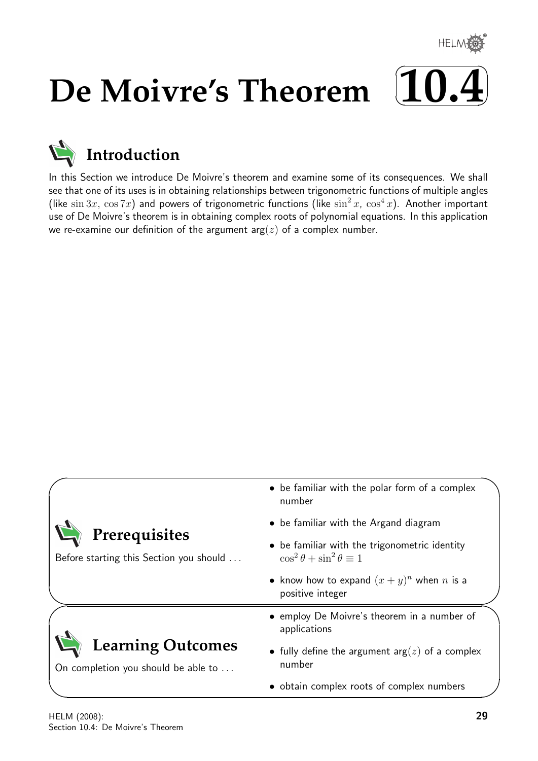

# **De Moivre's Theorem**



# **Introduction**

In this Section we introduce De Moivre's theorem and examine some of its consequences. We shall see that one of its uses is in obtaining relationships between trigonometric functions of multiple angles (like  $\sin 3x$ ,  $\cos 7x$ ) and powers of trigonometric functions (like  $\sin^2 x$ ,  $\cos^4 x$ ). Another important use of De Moivre's theorem is in obtaining complex roots of polynomial equations. In this application we re-examine our definition of the argument  $arg(z)$  of a complex number.

| Prerequisites<br>Before starting this Section you should        | • be familiar with the polar form of a complex<br>number                                                 |
|-----------------------------------------------------------------|----------------------------------------------------------------------------------------------------------|
|                                                                 | • be familiar with the Argand diagram<br>• be familiar with the trigonometric identity                   |
|                                                                 | $\cos^2\theta + \sin^2\theta \equiv 1$<br>• know how to expand $(x+y)^n$ when n is a<br>positive integer |
| <b>Learning Outcomes</b><br>On completion you should be able to | • employ De Moivre's theorem in a number of<br>applications                                              |
|                                                                 | • fully define the argument $arg(z)$ of a complex<br>number                                              |
|                                                                 | • obtain complex roots of complex numbers                                                                |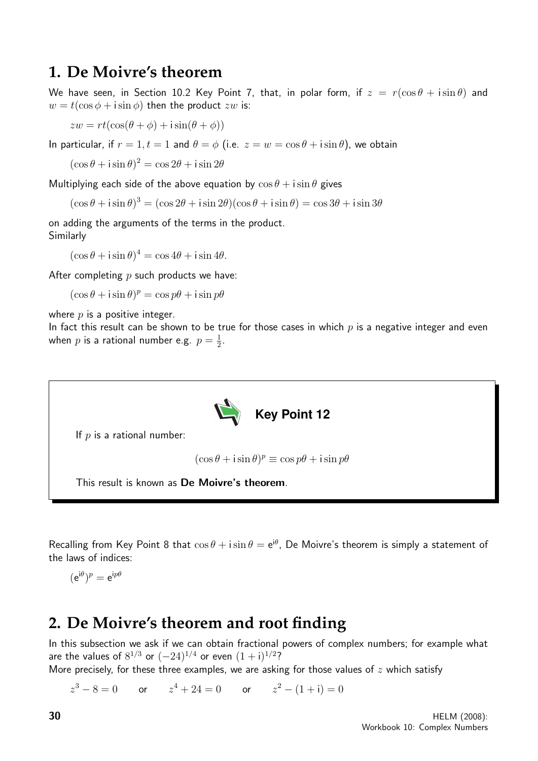## **1. De Moivre's theorem**

We have seen, in Section 10.2 Key Point 7, that, in polar form, if  $z = r(\cos \theta + i \sin \theta)$  and  $w = t(\cos \phi + i \sin \phi)$  then the product zw is:

 $zw = rt(\cos(\theta + \phi) + i\sin(\theta + \phi))$ 

In particular, if  $r = 1, t = 1$  and  $\theta = \phi$  (i.e.  $z = w = \cos \theta + i \sin \theta$ ), we obtain

 $(\cos \theta + i \sin \theta)^2 = \cos 2\theta + i \sin 2\theta$ 

Multiplying each side of the above equation by  $\cos \theta + i \sin \theta$  gives

 $(\cos \theta + i \sin \theta)^3 = (\cos 2\theta + i \sin 2\theta)(\cos \theta + i \sin \theta) = \cos 3\theta + i \sin 3\theta$ 

on adding the arguments of the terms in the product. Similarly

 $(\cos \theta + i \sin \theta)^4 = \cos 4\theta + i \sin 4\theta.$ 

After completing  $p$  such products we have:

 $(\cos \theta + i \sin \theta)^p = \cos p\theta + i \sin p\theta$ 

where  $p$  is a positive integer.

In fact this result can be shown to be true for those cases in which  $p$  is a negative integer and even when  $p$  is a rational number e.g.  $p=\frac{1}{2}$  $\frac{1}{2}$ .



If  $p$  is a rational number:

 $(\cos \theta + i \sin \theta)^p \equiv \cos p\theta + i \sin p\theta$ 

This result is known as De Moivre's theorem.

Recalling from Key Point 8 that  $\cos \theta + i \sin \theta = e^{i\theta}$ , De Moivre's theorem is simply a statement of the laws of indices:

$$
(\mathrm{e}^{\mathrm{i}\theta})^p=\mathrm{e}^{\mathrm{i}p\theta}
$$

## **2. De Moivre's theorem and root finding**

In this subsection we ask if we can obtain fractional powers of complex numbers; for example what are the values of  $8^{1/3}$  or  $(-24)^{1/4}$  or even  $(1+i)^{1/2}$ ?

More precisely, for these three examples, we are asking for those values of  $z$  which satisfy

 $z^3 - 8 = 0$  or  $z^4 + 24 = 0$  or  $z^2 - (1 + i) = 0$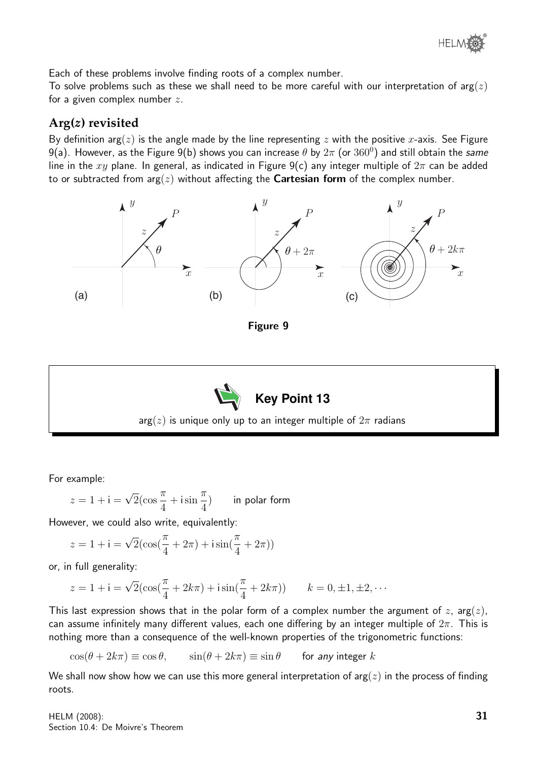

Each of these problems involve finding roots of a complex number.

To solve problems such as these we shall need to be more careful with our interpretation of  $arg(z)$ for a given complex number  $z$ .

#### **Arg(**z**) revisited**

By definition arg( $z$ ) is the angle made by the line representing  $z$  with the positive x-axis. See Figure 9(a). However, as the Figure 9(b) shows you can increase  $\theta$  by  $2\pi$  (or  $360^0$ ) and still obtain the same line in the xy plane. In general, as indicated in Figure 9(c) any integer multiple of  $2\pi$  can be added to or subtracted from  $arg(z)$  without affecting the **Cartesian form** of the complex number.





For example:

$$
z = 1 + i = \sqrt{2}(\cos{\frac{\pi}{4}} + i\sin{\frac{\pi}{4}})
$$
 in polar form

However, we could also write, equivalently:

$$
z = 1 + i = \sqrt{2}(\cos(\frac{\pi}{4} + 2\pi) + i\sin(\frac{\pi}{4} + 2\pi))
$$

or, in full generality:

$$
z = 1 + i = \sqrt{2}(\cos(\frac{\pi}{4} + 2k\pi) + i\sin(\frac{\pi}{4} + 2k\pi)) \qquad k = 0, \pm 1, \pm 2, \cdots
$$

This last expression shows that in the polar form of a complex number the argument of z,  $arg(z)$ , can assume infinitely many different values, each one differing by an integer multiple of  $2\pi$ . This is nothing more than a consequence of the well-known properties of the trigonometric functions:

$$
\cos(\theta + 2k\pi) \equiv \cos \theta, \qquad \sin(\theta + 2k\pi) \equiv \sin \theta \qquad \text{for any integer } k
$$

We shall now show how we can use this more general interpretation of  $arg(z)$  in the process of finding roots.

HELM (2008): Section 10.4: De Moivre's Theorem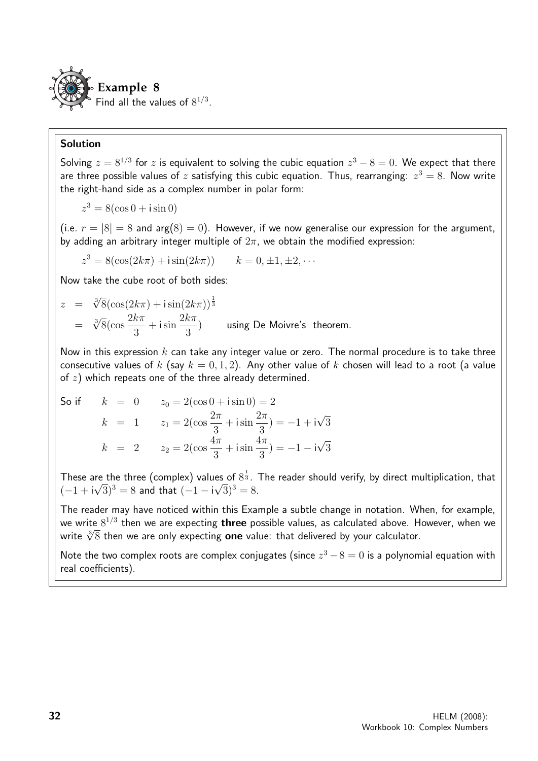

#### Solution

Solving  $z = 8^{1/3}$  for  $z$  is equivalent to solving the cubic equation  $z^3 - 8 = 0$ . We expect that there are three possible values of  $z$  satisfying this cubic equation. Thus, rearranging:  $z^3 = 8$ . Now write the right-hand side as a complex number in polar form:

$$
z^3 = 8(\cos 0 + i \sin 0)
$$

(i.e.  $r = |8| = 8$  and  $arg(8) = 0$ ). However, if we now generalise our expression for the argument, by adding an arbitrary integer multiple of  $2\pi$ , we obtain the modified expression:

$$
z^{3} = 8(\cos(2k\pi) + i\sin(2k\pi)) \qquad k = 0, \pm 1, \pm 2, \cdots
$$

Now take the cube root of both sides:

$$
z = \sqrt[3]{8}(\cos(2k\pi) + i\sin(2k\pi))^{\frac{1}{3}}
$$
  
=  $\sqrt[3]{8}(\cos\frac{2k\pi}{3} + i\sin\frac{2k\pi}{3})$  using De Moivre's theorem.

Now in this expression  $k$  can take any integer value or zero. The normal procedure is to take three consecutive values of k (say  $k = 0, 1, 2$ ). Any other value of k chosen will lead to a root (a value of  $z$ ) which repeats one of the three already determined.

So if 
$$
k = 0
$$
  $z_0 = 2(\cos 0 + i \sin 0) = 2$   
\n $k = 1$   $z_1 = 2(\cos \frac{2\pi}{3} + i \sin \frac{2\pi}{3}) = -1 + i\sqrt{3}$   
\n $k = 2$   $z_2 = 2(\cos \frac{4\pi}{3} + i \sin \frac{4\pi}{3}) = -1 - i\sqrt{3}$ 

These are the three (complex) values of  $8^{\frac{1}{3}}$ . The reader should verify, by direct multiplication, that  $(-1+i\sqrt{3})^3 = 8$  and that  $(-1-i\sqrt{3})^3 = 8$ .

The reader may have noticed within this Example a subtle change in notation. When, for example, we write  $8^{1/3}$  then we are expecting  $\bm{\mathrm{three}}$  possible values, as calculated above. However, when we we write 8<sup>-75</sup> then we are expecting **three** possible values, as calculated above. H<br>write ∛8 then we are only expecting **one** value: that delivered by your calculator.

Note the two complex roots are complex conjugates (since  $z^3 - 8 = 0$  is a polynomial equation with real coefficients).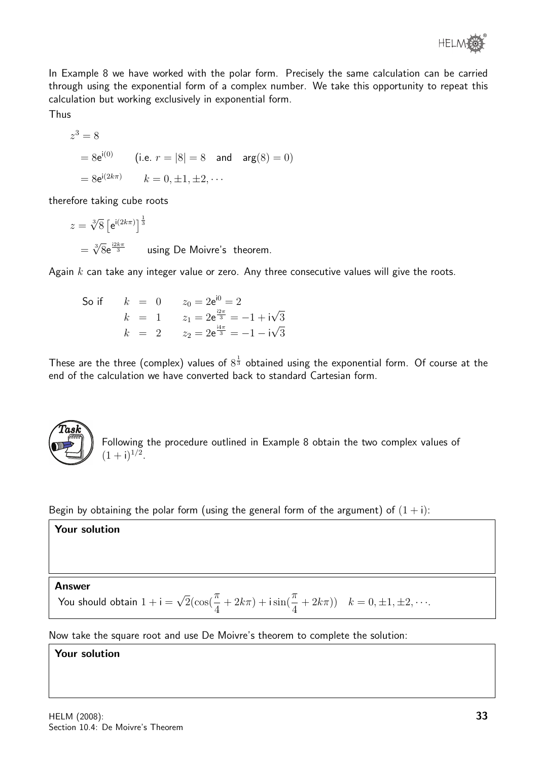

In Example 8 we have worked with the polar form. Precisely the same calculation can be carried through using the exponential form of a complex number. We take this opportunity to repeat this calculation but working exclusively in exponential form.

Thus

$$
z^3 = 8
$$
  
=  $8e^{i(0)}$  (i.e.  $r = |8| = 8$  and  $arg(8) = 0$ )  
=  $8e^{i(2k\pi)}$   $k = 0, \pm 1, \pm 2, \cdots$ 

therefore taking cube roots

 $z = \sqrt[3]{8} [e^{i(2k\pi)}]^{\frac{1}{3}}$  $=\sqrt[3]{8}e^{\frac{i2k\pi}{3}}$  using De Moivre's theorem.

Again  $k$  can take any integer value or zero. Any three consecutive values will give the roots.

So if 
$$
k = 0
$$
  $z_0 = 2e^{i0} = 2$   
\n $k = 1$   $z_1 = 2e^{\frac{i2\pi}{3}} = -1 + i\sqrt{3}$   
\n $k = 2$   $z_2 = 2e^{\frac{i4\pi}{3}} = -1 - i\sqrt{3}$ 

These are the three (complex) values of  $8^{\frac{1}{3}}$  obtained using the exponential form. Of course at the end of the calculation we have converted back to standard Cartesian form.



Following the procedure outlined in Example 8 obtain the two complex values of  $(1+i)^{1/2}$ .

Begin by obtaining the polar form (using the general form of the argument) of  $(1 + i)$ :

#### Your solution

Answer

You should obtain  $1 + i =$  $\sqrt{2}(\cos(\frac{\pi}{4}))$ 4  $+ 2k\pi$ ) + isin( $\frac{\pi}{4}$ 4  $(+ 2k\pi)$ )  $k = 0, \pm 1, \pm 2, \cdots$ .

Now take the square root and use De Moivre's theorem to complete the solution:

#### Your solution